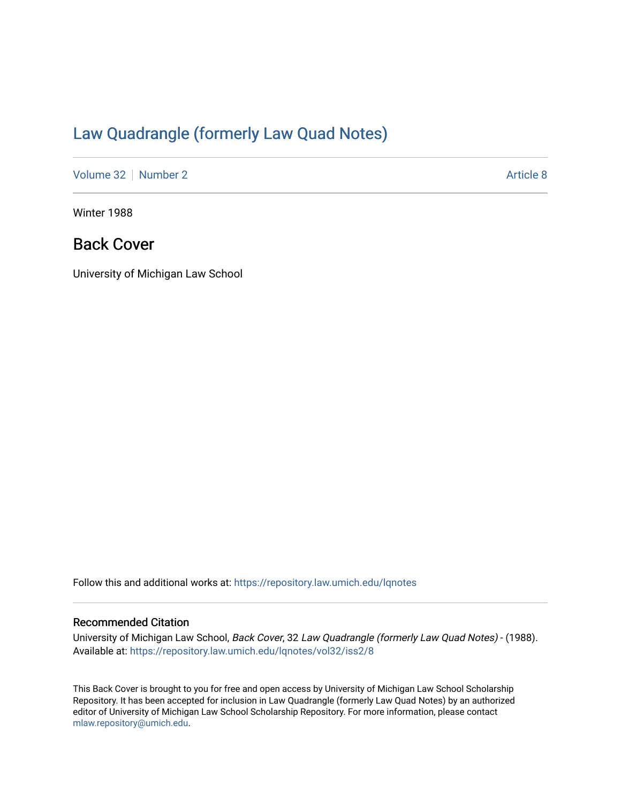## [Law Quadrangle \(formerly Law Quad Notes\)](https://repository.law.umich.edu/lqnotes)

[Volume 32](https://repository.law.umich.edu/lqnotes/vol32) [Number 2](https://repository.law.umich.edu/lqnotes/vol32/iss2) [Article 8](https://repository.law.umich.edu/lqnotes/vol32/iss2/8) Article 8

Winter 1988

## Back Cover

University of Michigan Law School

Follow this and additional works at: [https://repository.law.umich.edu/lqnotes](https://repository.law.umich.edu/lqnotes?utm_source=repository.law.umich.edu%2Flqnotes%2Fvol32%2Fiss2%2F8&utm_medium=PDF&utm_campaign=PDFCoverPages) 

## Recommended Citation

University of Michigan Law School, Back Cover, 32 Law Quadrangle (formerly Law Quad Notes) - (1988). Available at: [https://repository.law.umich.edu/lqnotes/vol32/iss2/8](https://repository.law.umich.edu/lqnotes/vol32/iss2/8?utm_source=repository.law.umich.edu%2Flqnotes%2Fvol32%2Fiss2%2F8&utm_medium=PDF&utm_campaign=PDFCoverPages) 

This Back Cover is brought to you for free and open access by University of Michigan Law School Scholarship Repository. It has been accepted for inclusion in Law Quadrangle (formerly Law Quad Notes) by an authorized editor of University of Michigan Law School Scholarship Repository. For more information, please contact [mlaw.repository@umich.edu.](mailto:mlaw.repository@umich.edu)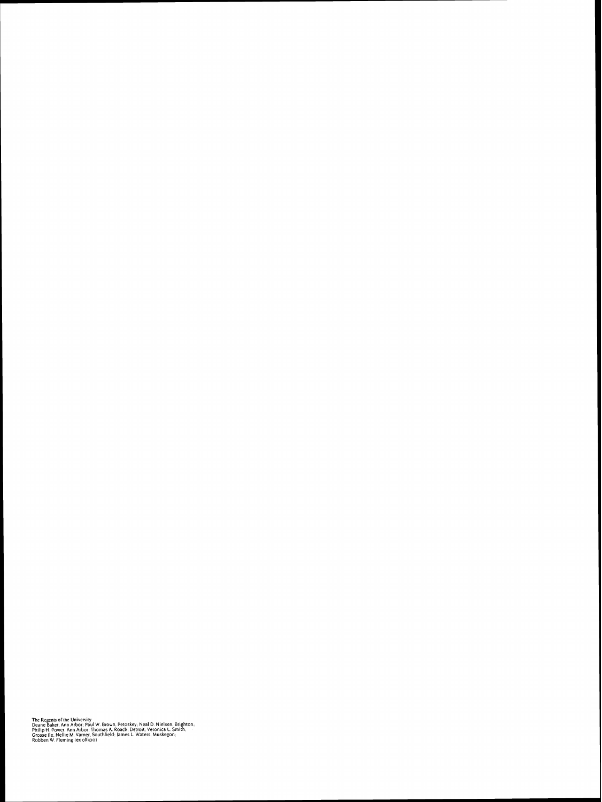The Regents of the University<br>Deane Baker, Ann Arbor: Paul W. Brown, Petoskey; Neal D. Nielsen, Brighton,<br>Philip H. Power, Ann Arbor: Thomas A. Roach, Detroit. Veronica L. Smith,<br>Grosse Ile: Nellie M. Varner, Southield: Ia